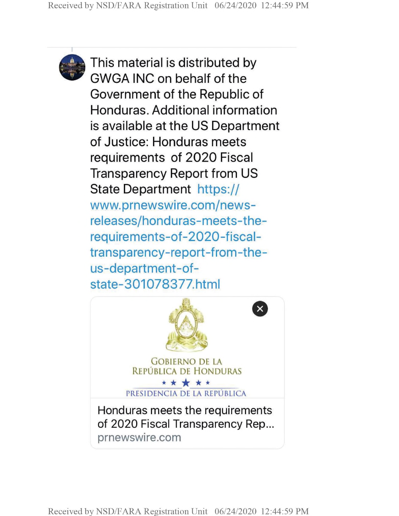

This material is distributed by GWGA INC on behalf of the Government of the Republic of Honduras. Additional information is available at the US Department of Justice: Honduras meets requirements of 2020 Fiscal Transparency Report from US State Department https:// www.prnewswire.com/newsreleases/honduras-meets-therequirements-of-2020-fiscaltransparency-report-from-theus-department-ofstate-301078377.html



Received by NSD/FARA Registration Unit 06/24/2020 12:44:59 PM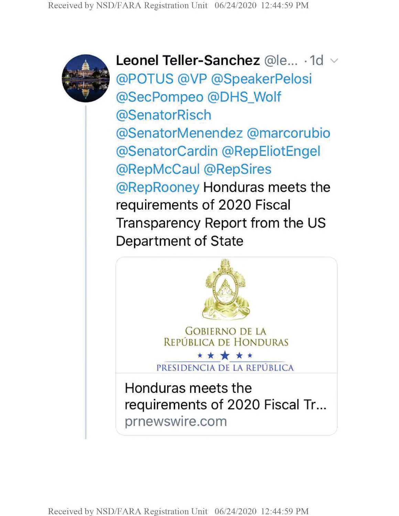

**Leonel Teller-Sanchez** @le... -1d @POTUS @VP @SpeakerPelosi @SecPompeo @DHS\_Wolf @SenatorRisch @SenatorMenendez @marcorubio @SenatorCardin @RepEliotEngel @RepMcCaul @RepSires @RepRooney Honduras meets the requirements of 2020 Fiscal Transparency Report from the US Department of State



Received by NSD/FARA Registration Unit 06/24/2020 12:44:59 PM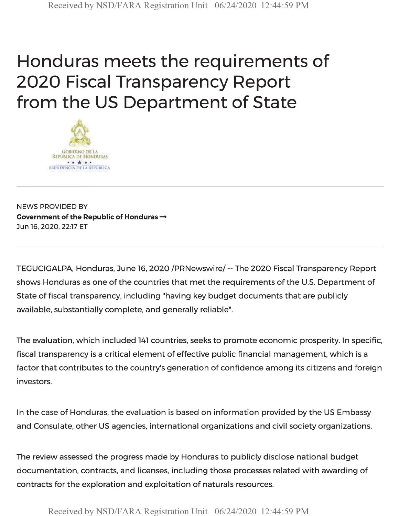## Honduras meets the requirements of 2020 Fiscal Transparency Report from the US Department of State



NEWS PROVIDED BY **Government of the Republic of Honduras —** Jun 16, 2020, 22:17 ET

TEGUCIGALPA, Honduras, June 16, 2020 /PRNewswire/ -- The 2020 Fiscal Transparency Report shows Honduras as one of the countries that met the requirements of the U.S. Department of State of fiscal transparency, including "having key budget documents that are publicly available, substantially complete, and generally reliable".

The evaluation, which included <sup>141</sup> countries, seeks to promote economic prosperity. In specific, fiscal transparency is a critical element of effective public financial management, which is a factor that contributes to the country's generation of confidence among its citizens and foreign investors.

In the case of Honduras, the evaluation is based on information provided by the US Embassy and Consulate, other US agencies, international organizations and civil society organizations.

The review assessed the progress made by Honduras to publicly disclose national budget documentation, contracts, and licenses, including those processes related with awarding of contracts for the exploration and exploitation of naturals resources.